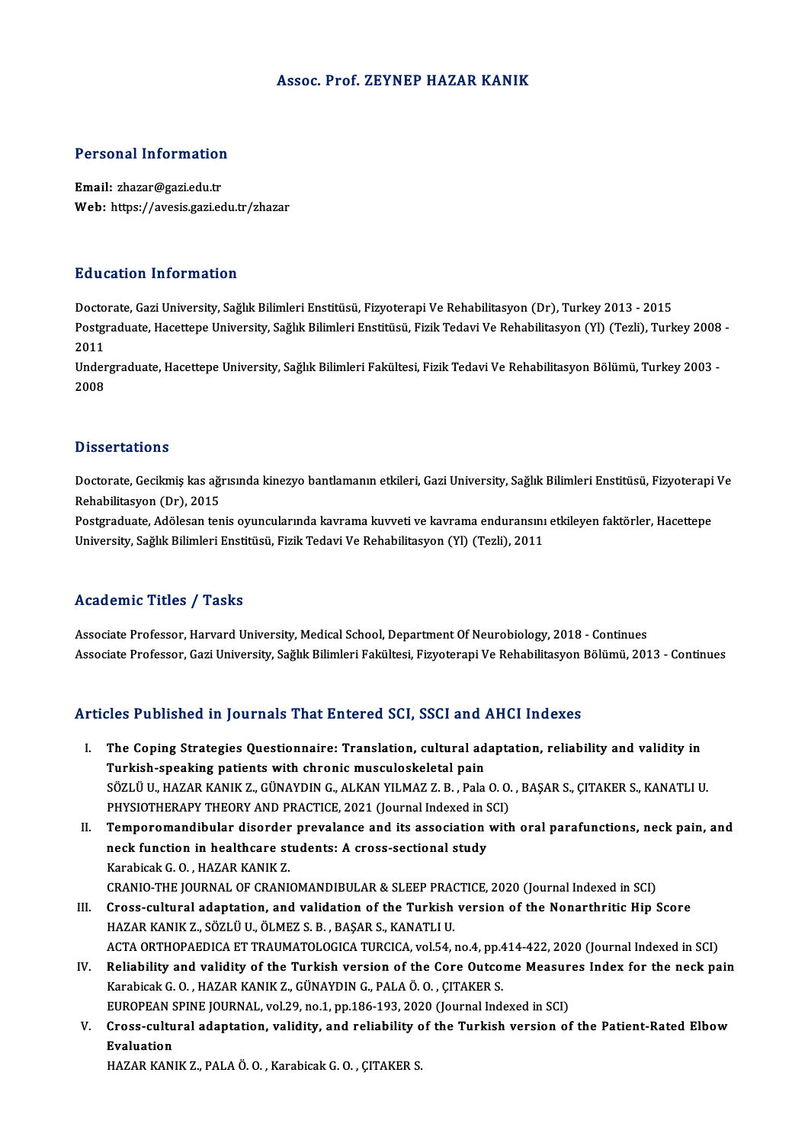#### Assoc. Prof. ZEYNEP HAZAR KANIK

# Personal Information

Personal Information<br>Email: zhazar@gazi.edu.tr<br>Web: https://avesis.gari.co Email: zhazar@gazi.edu.tr<br>Web: https://avesis.gazi.edu.tr/zhazar

#### Education Information

<mark>Education Information</mark><br>Doctorate, Gazi University, Sağlık Bilimleri Enstitüsü, Fizyoterapi Ve Rehabilitasyon (Dr), Turkey 2013 - 2015<br>Postsraduate Hasettone University, Sağlık Bilimleri Enstitüsü, Fizik Tedavi Ve Behabili Bu u sutron "Infor Inderon"<br>Doctorate, Gazi University, Sağlık Bilimleri Enstitüsü, Fizyoterapi Ve Rehabilitasyon (Dr), Turkey 2013 - 2015<br>Postgraduate, Hacettepe University, Sağlık Bilimleri Enstitüsü, Fizik Tedavi Ve Reh Docto<br>Postgi<br>2011<br>Under Postgraduate, Hacettepe University, Sağlık Bilimleri Enstitüsü, Fizik Tedavi Ve Rehabilitasyon (Yl) (Tezli), Turkey 2008<br>2011<br>Undergraduate, Hacettepe University, Sağlık Bilimleri Fakültesi, Fizik Tedavi Ve Rehabilitasyon

2011<br>Undergraduate, Hacettepe University, Sağlık Bilimleri Fakültesi, Fizik Tedavi Ve Rehabilitasyon Bölümü, Turkey 2003 -<br>2008

#### **Dissertations**

Dissertations<br>Doctorate, Gecikmiş kas ağrısında kinezyo bantlamanın etkileri, Gazi University, Sağlık Bilimleri Enstitüsü, Fizyoterapi Ve<br>Rehabilitasyon (Dr), 2015 *Basser tarroms*<br>Doctorate, Gecikmiş kas ağı<br>Rehabilitasyon (Dr), 2015<br>Restanaduate, Adölesen tan Doctorate, Gecikmiş kas ağrısında kinezyo bantlamanın etkileri, Gazi University, Sağlık Bilimleri Enstitüsü, Fizyoterapi<br>Rehabilitasyon (Dr), 2015<br>Postgraduate, Adölesan tenis oyuncularında kavrama kuvveti ve kavrama endur

Rehabilitasyon (Dr), 2015<br>Postgraduate, Adölesan tenis oyuncularında kavrama kuvveti ve kavrama enduransını etkileyen faktörler, Hacettepe<br>University, Sağlık Bilimleri Enstitüsü, Fizik Tedavi Ve Rehabilitasyon (Yl) (Tezli)

#### Academic Titles / Tasks

Associate Professor, Harvard University, Medical School, Department Of Neurobiology, 2018 - Continues Associate Professor, Gazi University, Sağlık Bilimleri Fakültesi, Fizyoterapi Ve Rehabilitasyon Bölümü, 2013 - Continues

#### Articles Published in Journals That Entered SCI, SSCI and AHCI Indexes

- rticles Published in Journals That Entered SCI, SSCI and AHCI Indexes<br>I. The Coping Strategies Questionnaire: Translation, cultural adaptation, reliability and validity in<br>Turkish speaking patients with shrenis mussuleskel The Coping Strategies Questionnaire: Translation, cultural ad<br>Turkish-speaking patients with chronic musculoskeletal pain<br>SÖZLÜ IL HAZAR KANIK Z. CÜNAYDIN C. ALKAN VU MAZ Z. B. Pala The Coping Strategies Questionnaire: Translation, cultural adaptation, reliability and validity in<br>Turkish-speaking patients with chronic musculoskeletal pain<br>SÖZLÜ U., HAZAR KANIK Z., GÜNAYDIN G., ALKAN YILMAZ Z.B. , Pala Turkish-speaking patients with chronic musculoskeletal pain<br>SÖZLÜ U., HAZAR KANIK Z., GÜNAYDIN G., ALKAN YILMAZ Z. B. , Pala O. O.<br>PHYSIOTHERAPY THEORY AND PRACTICE, 2021 (Journal Indexed in SCI)<br>Temperemendibular diserder SÖZLÜ U., HAZAR KANIK Z., GÜNAYDIN G., ALKAN YILMAZ Z. B. , Pala O. O. , BAŞAR S., ÇITAKER S., KANATLI U.<br>PHYSIOTHERAPY THEORY AND PRACTICE, 2021 (Journal Indexed in SCI)<br>II. Temporomandibular disorder prevalance and its a
- PHYSIOTHERAPY THEORY AND PRACTICE, 2021 (Journal Indexed in S<br>Temporomandibular disorder prevalance and its association<br>neck function in healthcare students: A cross-sectional study<br>Karabisak C.O., HAZAP KANIK 7 Karabicak G.O., HAZAR KANIK Z. CRANIO-THE JOURNAL OF CRANIOMANDIBULAR & SLEEP PRACTICE, 2020 (Journal Indexed in SCI)
- III. Cross-cultural adaptation, and validation of the Turkish version of the Nonarthritic Hip Score HAZAR KANIK Z., SÖZLÜ U., ÖLMEZ S. B., BAŞAR S., KANATLI U. ACTAORTHOPAEDICAETTRAUMATOLOGICATURCICA,vol.54,no.4,pp.414-422,2020 (Journal Indexed inSCI) HAZAR KANIK Z., SÖZLÜ U., ÖLMEZ S. B. , BAŞAR S., KANATLI U.<br>ACTA ORTHOPAEDICA ET TRAUMATOLOGICA TURCICA, vol.54, no.4, pp.414-422, 2020 (Journal Indexed in SCI)<br>IV. Reliability and validity of the Turkish version of the C
- KarabicakG.O. ,HAZARKANIKZ.,GÜNAYDING.,PALAÖ.O. ,ÇITAKERS. Reliability and validity of the Turkish version of the Core Outcome Measur<br>Karabicak G.O., HAZAR KANIK Z., GÜNAYDIN G., PALA Ö.O., ÇITAKER S.<br>EUROPEAN SPINE JOURNAL, vol.29, no.1, pp.186-193, 2020 (Journal Indexed in SCI)<br> Karabicak G. O. , HAZAR KANIK Z., GÜNAYDIN G., PALA Ö. O. , ÇITAKER S.<br>EUROPEAN SPINE JOURNAL, vol.29, no.1, pp.186-193, 2020 (Journal Indexed in SCI)<br>V. Cross-cultural adaptation, validity, and reliability of the Turkish
- EUROPEAN SPINE JOURNAL, vol.29, no.1, pp.186-193, 2020 (Journal Indexed in SCI)<br>Cross-cultural adaptation, validity, and reliability of the Turkish version of<br>Evaluation<br>HAZAR KANIK Z., PALA Ö. O., Karabicak G. O., CITAKER Cross-cultural adaptation, validity, and reliability c<br>Evaluation<br>HAZAR KANIK Z., PALA Ö. O. , Karabicak G. O. , ÇITAKER S.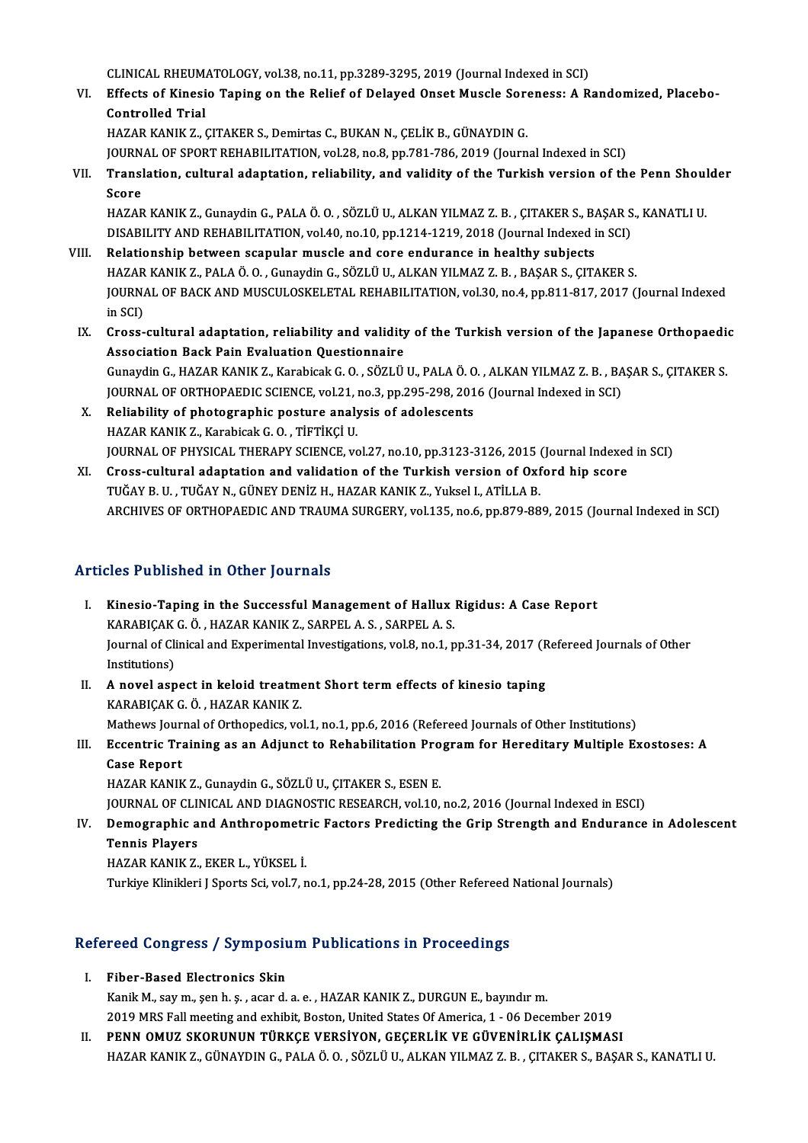CLINICAL RHEUMATOLOGY, vol.38, no.11, pp.3289-3295, 2019 (Journal Indexed in SCI)<br>Effects of Vinesia Taping on the Bolisf of Delayed Opest Musele Serenessy A B

VI. Effects of Kinesio Taping on the Relief of Delayed Onset Muscle Soreness: A Randomized, Placebo-<br>Controlled Trial CLINICAL RHEUM<br>Effects of Kinesi<br>Controlled Trial<br>HAZAR KANIK Z Controlled Trial<br>HAZAR KANIK Z., ÇITAKER S., Demirtas C., BUKAN N., ÇELİK B., GÜNAYDIN G.<br>JOURNAL OF SPORT REHABILITATION, vol.28, no.8, pp.781-786, 2019 (Journal Indexed in SCI)<br>Translation, sultural adaptation, reliabili

HAZAR KANIK Z., ÇITAKER S., Demirtas C., BUKAN N., ÇELİK B., GÜNAYDIN G.

VII. Translation, cultural adaptation, reliability, and validity of the Turkish version of the Penn Shoulder<br>Score **JOURN**<br>Transl<br>Score<br>HAZAR

HAZARKANIKZ.,GunaydinG.,PALAÖ.O. ,SÖZLÜU.,ALKANYILMAZ Z.B. ,ÇITAKERS.,BAŞARS.,KANATLIU. Score<br>HAZAR KANIK Z., Gunaydin G., PALA Ö. O. , SÖZLÜ U., ALKAN YILMAZ Z. B. , ÇITAKER S., BAŞAR S<br>DISABILITY AND REHABILITATION, vol.40, no.10, pp.1214-1219, 2018 (Journal Indexed in SCI)<br>Belationship between scapular mus

- VIII. Relationship between scapular muscle and core endurance in healthy subjects DISABILITY AND REHABILITATION, vol.40, no.10, pp.1214-1219, 2018 (Journal Indexed in SCI)<br>Relationship between scapular muscle and core endurance in healthy subjects<br>HAZAR KANIK Z., PALA Ö. O. , Gunaydin G., SÖZLÜ U., ALKA JOURNAL OF BACK AND MUSCULOSKELETAL REHABILITATION, vol.30, no.4, pp.811-817, 2017 (Journal Indexed in SCI) HAZAR KANIK Z., PALA Ö. O., Gunaydin G., SÖZLÜ U., ALKAN YILMAZ Z. B., BAŞAR S., ÇITAKER S. JOURNAL OF BACK AND MUSCULOSKELETAL REHABILITATION, vol.30, no.4, pp.811-817, 2017 (Journal Indexed<br>in SCI)<br>IX. Cross-cultural adaptation, reliability and validity of the Turkish version of the Japanese Orthopaedic<br>Associa
	- in SCI)<br>Cross-cultural adaptation, reliability and validity<br>Association Back Pain Evaluation Questionnaire<br>Cunevdin C. HAZAR KANIK Z. Karabisek C.O. SÖZLÜ Cross-cultural adaptation, reliability and validity of the Turkish version of the Japanese Orthopaedi<br>Association Back Pain Evaluation Questionnaire<br>Gunaydin G., HAZAR KANIK Z., Karabicak G. O. , SÖZLÜ U., PALA Ö. O. , ALK Association Back Pain Evaluation Questionnaire<br>Gunaydin G., HAZAR KANIK Z., Karabicak G. O. , SÖZLÜ U., PALA Ö. O. , ALKAN YILMAZ Z. B. , BA<br>JOURNAL OF ORTHOPAEDIC SCIENCE, vol.21, no.3, pp.295-298, 2016 (Journal Indexed i Gunaydin G., HAZAR KANIK Z., Karabicak G. O. , SÖZLÜ U., PALA Ö. O<br>JOURNAL OF ORTHOPAEDIC SCIENCE, vol.21, no.3, pp.295-298, 201<br>X. Reliability of photographic posture analysis of adolescents<br>HAZAR KANIK Z. Karabisak G. O.
	- JOURNAL OF ORTHOPAEDIC SCIENCE, vol.21, <mark>:</mark><br>Reliability of photographic posture analy<br>HAZAR KANIK Z., Karabicak G. O. , TİFTİKÇİ U.<br>JOURNAL OF PHYSICAL THERAPY SCIENCE *ve* Reliability of photographic posture analysis of adolescents<br>HAZAR KANIK Z., Karabicak G. O. , TİFTİKÇİ U.<br>JOURNAL OF PHYSICAL THERAPY SCIENCE, vol.27, no.10, pp.3123-3126, 2015 (Journal Indexed in SCI)<br>Crees sultural adort HAZAR KANIK Z., Karabicak G. O. , TİFTİKÇİ U.<br>JOURNAL OF PHYSICAL THERAPY SCIENCE, vol.27, no.10, pp.3123-3126, 2015 (Journal Indexed<br>XI. Cross-cultural adaptation and validation of the Turkish version of Oxford hip score<br>
	- JOURNAL OF PHYSICAL THERAPY SCIENCE, vol.27, no.10, pp.3123-3126, 2015 (<br>Cross-cultural adaptation and validation of the Turkish version of Oxf<br>TUĞAY B. U. , TUĞAY N., GÜNEY DENİZ H., HAZAR KANIK Z., Yuksel I., ATİLLA B.<br>A XI. Cross-cultural adaptation and validation of the Turkish version of Oxford hip score<br>TUĞAY B. U. , TUĞAY N., GÜNEY DENİZ H., HAZAR KANIK Z., Yuksel I., ATİLLA B.<br>ARCHIVES OF ORTHOPAEDIC AND TRAUMA SURGERY, vol.135, no.6

#### Articles Published in Other Journals

- I. Kinesio-Taping in the Successful Management of Hallux Rigidus: A Case Report KARABIÇAKG.Ö. ,HAZARKANIKZ.,SARPELA.S. ,SARPELA.S. Kinesio-Taping in the Successful Management of Hallux Rigidus: A Case Report<br>KARABIÇAK G. Ö. , HAZAR KANIK Z., SARPEL A. S. , SARPEL A. S.<br>Journal of Clinical and Experimental Investigations, vol.8, no.1, pp.31-34, 2017 (R KARABIÇAK<br>Journal of Cli<br>Institutions)<br>A novel can Journal of Clinical and Experimental Investigations, vol.8, no.1, pp.31-34, 2017 (R<br>Institutions)<br>II. A novel aspect in keloid treatment Short term effects of kinesio taping<br> $\frac{VADADICAVC}{VADADICAYC}$
- Institutions)<br>II. A novel aspect in keloid treatment Short term effects of kinesio taping<br>KARABIÇAK G.Ö., HAZAR KANIK Z. Mathews Journal of Orthopedics, vol.1, no.1, pp.6, 2016 (Refereed Journals of Other Institutions) KARABIÇAK G. Ö. , HAZAR KANIK Z.<br>Mathews Journal of Orthopedics, vol.1, no.1, pp.6, 2016 (Refereed Journals of Other Institutions)<br>III. Eccentric Training as an Adjunct to Rehabilitation Program for Hereditary Multiple
- Mathews Jour<br><mark>Eccentric Tra</mark><br>Case Report<br>HAZAR KANIK Eccentric Training as an Adjunct to Rehabilitation Pro<br>Case Report<br>HAZAR KANIK Z., Gunaydin G., SÖZLÜ U., ÇITAKER S., ESEN E.<br>JOUPMAL OF CLINICAL AND DIACNOSTIC PESEARCH vol 10.

Case Report<br>HAZAR KANIK Z., Gunaydin G., SÖZLÜ U., ÇITAKER S., ESEN E.<br>JOURNAL OF CLINICAL AND DIAGNOSTIC RESEARCH, vol.10, no.2, 2016 (Journal Indexed in ESCI) HAZAR KANIK Z., Gunaydin G., SÖZLÜ U., ÇITAKER S., ESEN E.<br>JOURNAL OF CLINICAL AND DIAGNOSTIC RESEARCH, vol.10, no.2, 2016 (Journal Indexed in ESCI)<br>IV. Demographic and Anthropometric Factors Predicting the Grip Streng

JOURNAL OF CLI<mark>I</mark><br>Demographic a<br>Tennis Players<br>HAZAR KANIK Z Demographic and Anthropometr<br>Tennis Players<br>HAZAR KANIK Z., EKER L., YÜKSEL İ.<br>Turkiya Kliniklari I Sparta Sci val 7. r Tennis Players<br>HAZAR KANIK Z., EKER L., YÜKSEL İ.<br>Turkiye Klinikleri J Sports Sci, vol.7, no.1, pp.24-28, 2015 (Other Refereed National Journals)

## Turkiye Kilnikieri J Sports Sci, vol.7, no.1, pp.24-28, 2015 (Other Kelereed<br>Refereed Congress / Symposium Publications in Proceedings efereed Congress / Symposiu<br>I. Fiber-Based Electronics Skin<br>Kapik M. say m. san h s. agand

I. Fiber-Based Electronics Skin<br>Kanik M., say m., şen h. ş. , acar d. a. e. , HAZAR KANIK Z., DURGUN E., bayındırm. 2019 MRS Fall meeting and exhibit, Boston, United States Of America, 1 - 06 December 2019

II. PENN OMUZ SKORUNUN TÜRKCE VERSİYON, GECERLİK VE GÜVENİRLİK CALISMASI HAZARKANIKZ.,GÜNAYDING.,PALAÖ.O. ,SÖZLÜU.,ALKANYILMAZ Z.B. ,ÇITAKERS.,BAŞARS.,KANATLIU.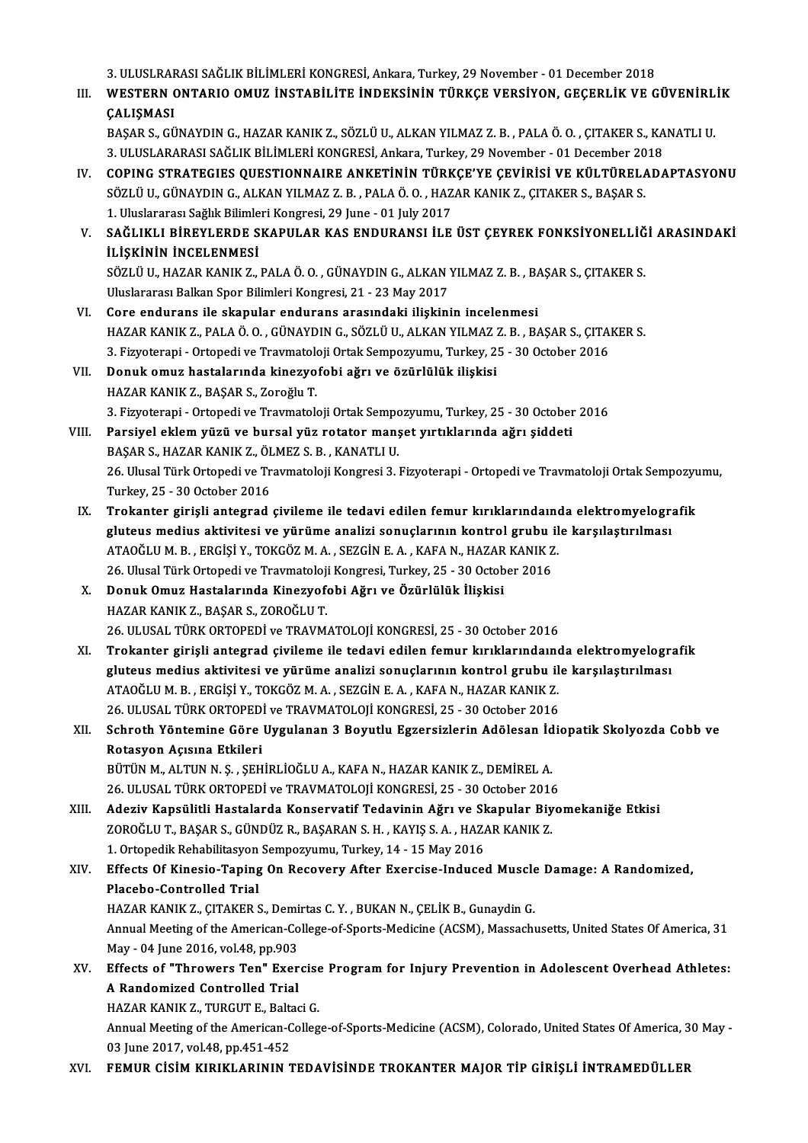3. ULUSLRARASI SAĞLIK BİLİMLERİ KONGRESİ, Ankara, Turkey, 29 November - 01 December 2018<br>WESTERN ONTARIQ OMUZ İNSTARJI İTE İNDEKSİNIN TÜRKÇE VERSİYON, CEÇERLİK VE C

3. ULUSLRARASI SAĞLIK BİLİMLERİ KONGRESİ, Ankara, Turkey, 29 November - 01 December 2018<br>III. WESTERN ONTARIO OMUZ İNSTABİLİTE İNDEKSİNİN TÜRKÇE VERSİYON, GEÇERLİK VE GÜVENİRLİK<br>GALISMASI 3. ULUSLRAF<br>WESTERN (<br>ÇALIŞMASI WESTERN ONTARIO OMUZ İNSTABİLİTE İNDEKSİNİN TÜRKÇE VERSİYON, GEÇERLİK VE GÜVENİRL<br>ÇALIŞMASI<br>BAŞAR S., GÜNAYDIN G., HAZAR KANIK Z., SÖZLÜ U., ALKAN YILMAZ Z. B. , PALA Ö. O. , ÇITAKER S., KANATLI U.<br>2. ULUSLARARASI SAĞLIK B

**ÇALIŞMASI**<br>BAŞAR S., GÜNAYDIN G., HAZAR KANIK Z., SÖZLÜ U., ALKAN YILMAZ Z. B. , PALA Ö. O. , ÇITAKER S., KANATLI U.<br>3. ULUSLARARASI SAĞLIK BİLİMLERİ KONGRESİ, Ankara, Turkey, 29 November - 01 December 2018 BAŞAR S., GÜNAYDIN G., HAZAR KANIK Z., SÖZLÜ U., ALKAN YILMAZ Z. B. , PALA Ö. O. , ÇITAKER S., KANATLI U.<br>3. ULUSLARARASI SAĞLIK BİLİMLERİ KONGRESİ, Ankara, Turkey, 29 November - 01 December 2018<br>IV. COPING STRATEGIES QUES

- 3. ULUSLARARASI SAĞLIK BİLİMLERİ KONGRESİ, Ankara, Turkey, 29 November 01 December 20<br>COPING STRATEGIES QUESTIONNAIRE ANKETİNİN TÜRKÇE'YE ÇEVİRİSİ VE KÜLTÜREL*I*<br>SÖZLÜ U., GÜNAYDIN G., ALKAN YILMAZ Z. B. , PALA Ö. O. , H COPING STRATEGIES QUESTIONNAIRE ANKETININ TÜRK<br>SÖZLÜ U., GÜNAYDIN G., ALKAN YILMAZ Z. B. , PALA Ö. O. , HAZ<br>1. Uluslararası Sağlık Bilimleri Kongresi, 29 June - 01 July 2017<br>SAĞLIKLI PİREVI ERDE SKARIJLAR KAS ENDIJRANSI İL SÖZLÜ U., GÜNAYDIN G., ALKAN YILMAZ Z. B. , PALA Ö. O. , HAZAR KANIK Z., ÇITAKER S., BAŞAR S.<br>1. Uluslararası Sağlık Bilimleri Kongresi, 29 June - 01 July 2017<br>1. SAĞLIKLI BİREYLERDE SKAPULAR KAS ENDURANSI İLE ÜST ÇEYREK F
- 1. Uluslararası Sağlık Bilimle<br>SAĞLIKLI BİREYLERDE S<br>İLİŞKİNİN İNCELENMESİ<br>SÖZLÜ IL HAZAR KANIK Z SAĞLIKLI BİREYLERDE SKAPULAR KAS ENDURANSI İLE ÜST ÇEYREK FONKSİYONELLİĞ<br>İLİŞKİNİN İNCELENMESİ<br>SÖZLÜ U., HAZAR KANIK Z., PALA Ö. O. , GÜNAYDIN G., ALKAN YILMAZ Z. B. , BAŞAR S., ÇITAKER S.<br>Huslararası Ballan Spor Bilimlari **İLİŞKİNİN İNCELENMESİ**<br>SÖZLÜ U., HAZAR KANIK Z., PALA Ö. O. , GÜNAYDIN G., ALKAN YILMAZ Z. B. , BAŞAR S., ÇITAKER S.<br>Uluslararası Balkan Spor Bilimleri Kongresi, 21 - 23 May 2017

- VI. Core endurans ile skapular endurans arasındaki ilişkinin incelenmesi Uluslararası Balkan Spor Bilimleri Kongresi, 21 - 23 May 2017<br>Core endurans ile skapular endurans arasındaki ilişkinin incelenmesi<br>HAZAR KANIK Z., PALA Ö. O. , GÜNAYDIN G., SÖZLÜ U., ALKAN YILMAZ Z. B. , BAŞAR S., ÇITAKER Core endurans ile skapular endurans arasındaki ilişkinin incelenmesi<br>HAZAR KANIK Z., PALA Ö. O. , GÜNAYDIN G., SÖZLÜ U., ALKAN YILMAZ Z. B. , BAŞAR S., ÇITAI<br>3. Fizyoterapi - Ortopedi ve Travmatoloji Ortak Sempozyumu, Turk 3. Fizyoterapi - Ortopedi ve Travmatoloji Ortak Sempozyumu, Turkey, 25 - 30 October 2016
- VII. Donuk omuz hastalarında kinezyofobi ağrı ve özürlülük ilişkisi<br>HAZAR KANIK Z., BAŞAR S., Zoroğlu T. 3.Fizyoterapi -OrtopediveTravmatolojiOrtakSempozyumu,Turkey,25 -30October 2016 HAZAR KANIK Z., BAŞAR S., Zoroğlu T.<br>3. Fizyoterapi - Ortopedi ve Travmatoloji Ortak Sempozyumu, Turkey, 25 - 30 October<br>VIII. Parsiyel eklem yüzü ve bursal yüz rotator manşet yırtıklarında ağrı şiddeti<br>PASAR S. HAZAR KANI
- 3. Fizyoterapi Ortopedi ve Travmatoloji Ortak Sempo<br>Parsiyel eklem yüzü ve bursal yüz rotator manş<br>BAŞAR S., HAZAR KANIK Z., ÖLMEZ S. B. , KANATLI U.<br>26. Ulusal Türk Ortopedi ve Traumatalaji Kanaresi 2. l 26. Ulusal Türk Ortopedi ve Travmatoloji Kongresi 3. Fizyoterapi - Ortopedi ve Travmatoloji Ortak Sempozyumu,<br>Turkey, 25 - 30 October 2016 BAŞAR S., HAZAR KANIK Z., ÖLMEZ S. B., KANATLI U. 26. Ulusal Türk Ortopedi ve Travmatoloji Kongresi 3. Fizyoterapi - Ortopedi ve Travmatoloji Ortak Sempozyu<br>Turkey, 25 - 30 October 2016<br>IX. Trokanter girişli antegrad çivileme ile tedavi edilen femur kırıklarındaında e
- Turkey, 25 30 October 2016<br>Trokanter girişli antegrad çivileme ile tedavi edilen femur kırıklarındaında elektromyelogra<br>gluteus medius aktivitesi ve yürüme analizi sonuçlarının kontrol grubu ile karşılaştırılması<br>ATAQĞLU Trokanter girişli antegrad çivileme ile tedavi edilen femur kırıklarındaını<br>gluteus medius aktivitesi ve yürüme analizi sonuçlarının kontrol grubu il<br>ATAOĞLU M. B., ERGİŞİ Y., TOKGÖZ M. A., SEZGİN E. A., KAFA N., HAZAR KAN gluteus medius aktivitesi ve yürüme analizi sonuçlarının kontrol grubu ile karşılaştırılması<br>ATAOĞLU M. B., ERGİŞİ Y., TOKGÖZ M. A., SEZGİN E. A., KAFA N., HAZAR KANIK Z.<br>26. Ulusal Türk Ortopedi ve Travmatoloji Kongresi, ATAOĞLU M. B., ERGİŞİ Y., TOKGÖZ M. A., SEZGİN E. A., KAFA N., HAZAR KANIK Z.<br>26. Ulusal Türk Ortopedi ve Travmatoloji Kongresi, Turkey, 25 - 30 October 2016<br>Donuk Omuz Hastalarında Kinezyofobi Ağrı ve Özürlülük İlişkisi<br>H 26. Ulusal Türk Ortopedi ve Travmatoloji Kongresi, Turkey, 25 - 30 October 2016
- 26. ULUSAL TÜRK ORTOPEDİ ve TRAVMATOLOJİ KONGRESİ, 25 30 October 2016
- HAZAR KANIK Z., BAŞAR S., ZOROĞLU T.<br>26. ULUSAL TÜRK ORTOPEDİ ve TRAVMATOLOJİ KONGRESİ, 25 30 October 2016<br>XI. Trokanter girişli antegrad çivileme ile tedavi edilen femur kırıklarındaında elektromyelografik<br>Glutove m 26. ULUSAL TÜRK ORTOPEDİ ve TRAVMATOLOJİ KONGRESİ, 25 - 30 October 2016<br>Trokanter girişli antegrad çivileme ile tedavi edilen femur kırıklarındaında elektromyelogra<br>gluteus medius aktivitesi ve yürüme analizi sonuçlarının Trokanter girişli antegrad çivileme ile tedavi edilen femur kırıklarındaını<br>gluteus medius aktivitesi ve yürüme analizi sonuçlarının kontrol grubu il<br>ATAOĞLU M. B., ERGİŞİ Y., TOKGÖZ M. A., SEZGİN E. A., KAFA N., HAZAR KAN gluteus medius aktivitesi ve yürüme analizi sonuçlarının kontrol grubu il<br>ATAOĞLU M. B., ERGİŞİ Y., TOKGÖZ M. A., SEZGİN E. A., KAFA N., HAZAR KANIK Z.<br>26. ULUSAL TÜRK ORTOPEDİ ve TRAVMATOLOJİ KONGRESİ, 25 - 30 October 201 ATAOĞLU M. B. , ERGİŞİ Y., TOKGÖZ M. A. , SEZGİN E. A. , KAFA N., HAZAR KANIK Z.<br>26. ULUSAL TÜRK ORTOPEDİ ve TRAVMATOLOJİ KONGRESİ, 25 - 30 October 2016<br>XII. Schroth Yöntemine Göre Uygulanan 3 Boyutlu Egzersizlerin Adö
- 26. ULUSAL TÜRK ORTOPED<br>Schroth Yöntemine Göre<br>Rotasyon Açısına Etkileri<br>PÜTÜN M. ALTIN N. S., SEH Schroth Yöntemine Göre Uygulanan 3 Boyutlu Egzersizlerin Adölesan İd<br>Rotasyon Açısına Etkileri<br>BÜTÜN M., ALTUN N.Ş. ,ŞEHİRLİOĞLU A., KAFA N., HAZAR KANIK Z., DEMİREL A.<br>26 HI USAL TÜRK ORTOREDİ ve TRAYMATOLOU KONCRESİ 25 -Rotasyon Açısına Etkileri<br>BÜTÜN M., ALTUN N. Ş. , ŞEHİRLİOĞLU A., KAFA N., HAZAR KANIK Z., DEMİREL A.<br>26. ULUSAL TÜRK ORTOPEDİ ve TRAVMATOLOJİ KONGRESİ, 25 - 30 October 2016<br>Aderiy Kansülitli Hastalarda Kanservatif Tedavin

BÜTÜN M., ALTUN N. Ş. , ŞEHİRLİOĞLU A., KAFA N., HAZAR KANIK Z., DEMİREL A.<br>26. ULUSAL TÜRK ORTOPEDİ ve TRAVMATOLOJİ KONGRESİ, 25 - 30 October 2016<br>XIII. Adeziv Kapsülitli Hastalarda Konservatif Tedavinin Ağrı ve Skapu 26. ULUSAL TÜRK ORTOPEDİ ve TRAVMATOLOJİ KONGRESİ, 25 - 30 October 2016<br>Adeziv Kapsülitli Hastalarda Konservatif Tedavinin Ağrı ve Skapular Biy<br>ZOROĞLU T., BAŞAR S., GÜNDÜZ R., BAŞARAN S. H. , KAYIŞ S. A. , HAZAR KANIK Z.<br> Adeziv Kapsülitli Hastalarda Konservatif Tedavinin Ağrı ve Sl<br>ZOROĞLU T., BAŞAR S., GÜNDÜZ R., BAŞARAN S. H. , KAYIŞ S. A. , HAZ*ı*<br>1. Ortopedik Rehabilitasyon Sempozyumu, Turkey, 14 - 15 May 2016<br>F<sup>ef</sup>ests Of Kinesia Tapi ZOROĞLU T., BAŞAR S., GÜNDÜZ R., BAŞARAN S. H. , KAYIŞ S. A. , HAZAR KANIK Z.<br>1. Ortopedik Rehabilitasyon Sempozyumu, Turkey, 14 - 15 May 2016<br>XIV. Effects Of Kinesio-Taping On Recovery After Exercise-Induced Muscle Da

#### 1. Ortopedik Rehabilitasyon<br>Effects Of Kinesio-Taping<br>Placebo-Controlled Trial<br>HAZAR KANIK Z. CITAKER S Effects Of Kinesio-Taping On Recovery After Exercise-Induced Muscle<br>Placebo-Controlled Trial<br>HAZAR KANIK Z., ÇITAKER S., Demirtas C.Y. , BUKAN N., ÇELİK B., Gunaydin G.<br>Annual Mesting of the American Cellege of Sperts Medi Placebo-Controlled Trial<br>HAZAR KANIK Z., ÇITAKER S., Demirtas C. Y. , BUKAN N., ÇELİK B., Gunaydin G.<br>Annual Meeting of the American-College-of-Sports-Medicine (ACSM), Massachusetts, United States Of America, 31<br>May - 04 J HAZAR KANIK Z., ÇITAKER S., Demirtas C. Y., BUKAN N., ÇELİK B., Gunaydin G. Annual Meeting of the American-College-of-Sports-Medicine (ACSM), Massachusetts, United States Of America, 31<br>May - 04 June 2016, vol.48, pp.903<br>XV. Effects of "Throwers Ten" Exercise Program for Injury Prevention in Adole

### May - 04 June 2016, vol.48, pp.903<br>Effects of "Throwers Ten" Exer<br>A Randomized Controlled Trial<br>HAZAR KANIK Z. TURGUTE, Palta Effects of "Throwers Ten" Exercise<br>A Randomized Controlled Trial<br>HAZAR KANIK Z., TURGUT E., Baltaci G.<br>Annual Meeting of the American Colleg

HAZAR KANIK Z., TURGUT E., Baltaci G.

A Randomized Controlled Trial<br>HAZAR KANIK Z., TURGUT E., Baltaci G.<br>Annual Meeting of the American-College-of-Sports-Medicine (ACSM), Colorado, United States Of America, 30 May -<br>03 June 2017, vol.48, pp.451-452

XVI. FEMUR CİSİM KIRIKLARININ TEDAVİSİNDE TROKANTER MAJOR TİP GİRİŞLİ İNTRAMEDÜLLER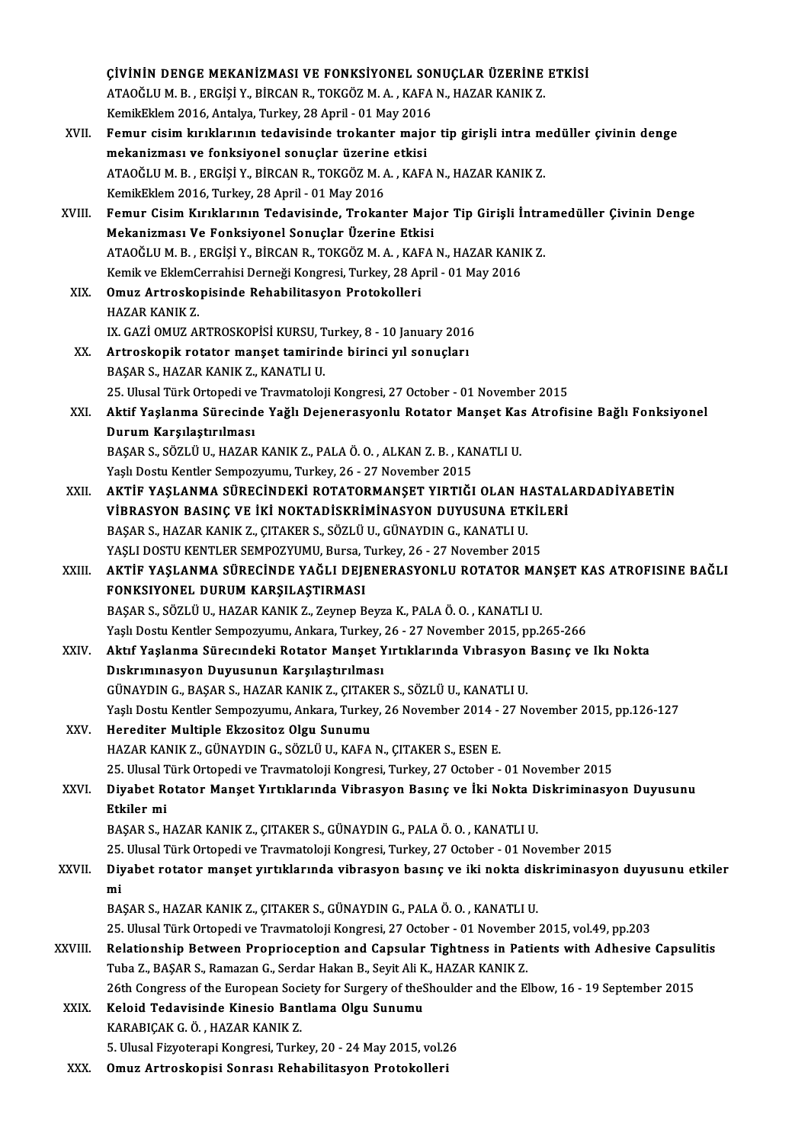|         | ÇİVİNİN DENGE MEKANİZMASI VE FONKSİYONEL SONUÇLAR ÜZERİNE ETKİSİ                                                                                |
|---------|-------------------------------------------------------------------------------------------------------------------------------------------------|
|         | ATAOĞLU M. B., ERGİŞİ Y., BİRCAN R., TOKGÖZ M. A., KAFA N., HAZAR KANIK Z.                                                                      |
|         | KemikEklem 2016, Antalya, Turkey, 28 April - 01 May 2016                                                                                        |
| XVII.   | Femur cisim kırıklarının tedavisinde trokanter major tip girişli intra medüller çivinin denge                                                   |
|         | mekanizması ve fonksiyonel sonuçlar üzerine etkisi                                                                                              |
|         | ATAOĞLU M. B., ERGİŞİ Y., BİRCAN R., TOKGÖZ M. A., KAFA N., HAZAR KANIK Z.                                                                      |
|         | KemikEklem 2016, Turkey, 28 April - 01 May 2016                                                                                                 |
| XVIII.  | Femur Cisim Kırıklarının Tedavisinde, Trokanter Major Tip Girişli İntramedüller Çivinin Denge                                                   |
|         | Mekanizması Ve Fonksiyonel Sonuçlar Üzerine Etkisi                                                                                              |
|         | ATAOĞLU M. B. , ERGİŞİ Y., BİRCAN R., TOKGÖZ M. A. , KAFA N., HAZAR KANIK Z.                                                                    |
|         | Kemik ve EklemCerrahisi Derneği Kongresi, Turkey, 28 April - 01 May 2016                                                                        |
| XIX.    | Omuz Artroskopisinde Rehabilitasyon Protokolleri                                                                                                |
|         | <b>HAZAR KANIK Z</b>                                                                                                                            |
|         | IX. GAZİ OMUZ ARTROSKOPİSİ KURSU, Turkey, 8 - 10 January 2016                                                                                   |
| XX.     | Artroskopik rotator manșet tamirinde birinci yıl sonuçları                                                                                      |
|         | BAŞAR S., HAZAR KANIK Z., KANATLI U.                                                                                                            |
|         | 25. Ulusal Türk Ortopedi ve Travmatoloji Kongresi, 27 October - 01 November 2015                                                                |
| XXI.    | Aktif Yaşlanma Sürecinde Yağlı Dejenerasyonlu Rotator Manşet Kas Atrofisine Bağlı Fonksiyonel                                                   |
|         | Durum Karşılaştırılması                                                                                                                         |
|         | BAŞAR S., SÖZLÜ U., HAZAR KANIK Z., PALA Ö. O., ALKAN Z. B., KANATLI U.                                                                         |
|         | Yaşlı Dostu Kentler Sempozyumu, Turkey, 26 - 27 November 2015                                                                                   |
| XXII.   | AKTIF YAŞLANMA SÜRECINDEKİ ROTATORMANŞET YIRTIĞI OLAN HASTALARDADİYABETİN                                                                       |
|         | VİBRASYON BASINÇ VE İKİ NOKTADİSKRİMİNASYON DUYUSUNA ETKİLERİ                                                                                   |
|         | BAŞAR S., HAZAR KANIK Z., ÇITAKER S., SÖZLÜ U., GÜNAYDIN G., KANATLI U.<br>YAŞLI DOSTU KENTLER SEMPOZYUMU, Bursa, Turkey, 26 - 27 November 2015 |
|         | AKTIF YAŞLANMA SÜRECİNDE YAĞLI DEJENERASYONLU ROTATOR MANŞET KAS ATROFISINE BAĞLI                                                               |
| XXIII.  | FONKSIYONEL DURUM KARŞILAŞTIRMASI                                                                                                               |
|         | BAŞAR S., SÖZLÜ U., HAZAR KANIK Z., Zeynep Beyza K., PALA Ö. O., KANATLI U.                                                                     |
|         | Yaşlı Dostu Kentler Sempozyumu, Ankara, Turkey, 26 - 27 November 2015, pp.265-266                                                               |
| XXIV.   | Aktıf Yaşlanma Sürecindeki Rotator Manşet Yırtıklarında Vıbrasyon Basınç ve Iki Nokta                                                           |
|         | Dıskrımınasyon Duyusunun Karşılaştırılması                                                                                                      |
|         | GÜNAYDIN G., BAŞAR S., HAZAR KANIK Z., ÇITAKER S., SÖZLÜ U., KANATLI U.                                                                         |
|         | Yaşlı Dostu Kentler Sempozyumu, Ankara, Turkey, 26 November 2014 - 27 November 2015, pp.126-127                                                 |
| XXV.    | Herediter Multiple Ekzositoz Olgu Sunumu                                                                                                        |
|         | HAZAR KANIK Z., GÜNAYDIN G., SÖZLÜ U., KAFA N., ÇITAKER S., ESEN E.                                                                             |
|         | 25. Ulusal Türk Ortopedi ve Travmatoloji Kongresi, Turkey, 27 October - 01 November 2015                                                        |
| XXVI.   | Diyabet Rotator Manşet Yırtıklarında Vibrasyon Basınç ve İki Nokta Diskriminasyon Duyusunu                                                      |
|         | Etkiler mi                                                                                                                                      |
|         | BAŞAR S., HAZAR KANIK Z., ÇITAKER S., GÜNAYDIN G., PALA Ö. O., KANATLI U.                                                                       |
|         | 25. Ulusal Türk Ortopedi ve Travmatoloji Kongresi, Turkey, 27 October - 01 November 2015                                                        |
| XXVII.  | Diyabet rotator manşet yırtıklarında vibrasyon basınç ve iki nokta diskriminasyon duyusunu etkiler                                              |
|         | mi                                                                                                                                              |
|         | BAŞAR S., HAZAR KANIK Z., ÇITAKER S., GÜNAYDIN G., PALA Ö. O., KANATLI U.                                                                       |
|         | 25. Ulusal Türk Ortopedi ve Travmatoloji Kongresi, 27 October - 01 November 2015, vol.49, pp.203                                                |
| XXVIII. | Relationship Between Proprioception and Capsular Tightness in Patients with Adhesive Capsulitis                                                 |
|         | Tuba Z., BAŞAR S., Ramazan G., Serdar Hakan B., Seyit Ali K., HAZAR KANIK Z.                                                                    |
|         | 26th Congress of the European Society for Surgery of the Shoulder and the Elbow, 16 - 19 September 2015                                         |
| XXIX.   | Keloid Tedavisinde Kinesio Bantlama Olgu Sunumu                                                                                                 |
|         | KARABIÇAK G. Ö., HAZAR KANIK Z.                                                                                                                 |
|         | 5. Ulusal Fizyoterapi Kongresi, Turkey, 20 - 24 May 2015, vol.26                                                                                |
| XXX.    | Omuz Artroskopisi Sonrası Rehabilitasyon Protokolleri                                                                                           |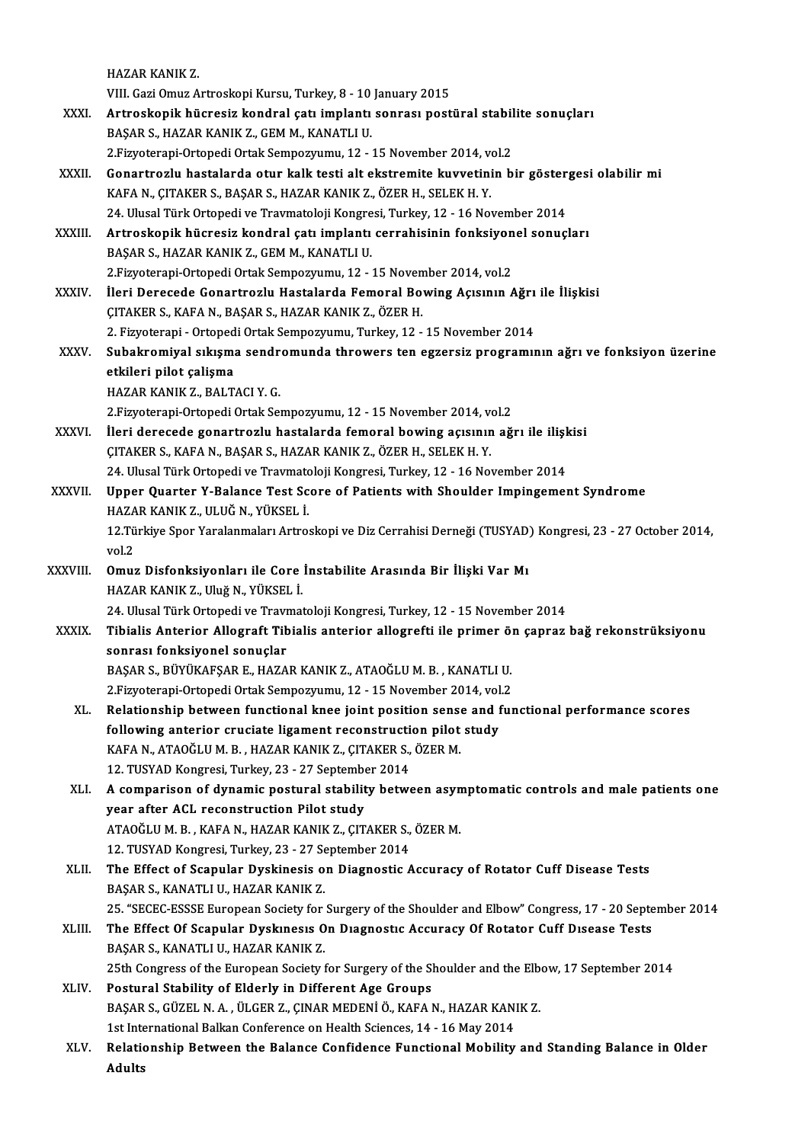HAZAR KANIK Z.

VIII. Gazi Omuz Artroskopi Kursu, Turkey, 8 - 10 January 2015

- HAZAR KANIK Z.<br>VIII. Gazi Omuz Artroskopi Kursu, Turkey, 8 10 January 2015<br>XXXI. Artroskopik hücresiz kondral çatı implantı sonrası postüral stabilite sonuçları<br>RASAR S. HAZAR KANIK Z. CEM M. KANATLLU VIII. Gazi Omuz Artroskopi Kursu, Turkey, 8 - 10<br><mark>Artroskopik hücresiz kondral çatı implantı</mark><br>BAŞAR S., HAZAR KANIK Z., GEM M., KANATLI U.<br>2 Eivyatarani Ortanedi Ortal: Samnawwww. 12 Artroskopik hücresiz kondral çatı implantı sonrası postüral stabil<br>BAŞAR S., HAZAR KANIK Z., GEM M., KANATLI U.<br>2.Fizyoterapi-Ortopedi Ortak Sempozyumu, 12 - 15 November 2014, vol.2<br>Conartrorlu hastalarda etur kalk testi a
	-
- BAŞAR S., HAZAR KANIK Z., GEM M., KANATLI U.<br>2.Fizyoterapi-Ortopedi Ortak Sempozyumu, 12 15 November 2014, vol.2<br>XXXII. Gonartrozlu hastalarda otur kalk testi alt ekstremite kuvvetinin bir göstergesi olabilir mi<br>KAEA 2. Fizyoterapi-Ortopedi Ortak Sempozyumu, 12 - 15 November 2014, vol.2<br>Gonartrozlu hastalarda otur kalk testi alt ekstremite kuvvetinin bir göster<br>KAFA N., ÇITAKER S., BAŞAR S., HAZAR KANIK Z., ÖZER H., SELEK H. Y.<br>24. Ulu Gonartrozlu hastalarda otur kalk testi alt ekstremite kuvvetinin bir göster<br>KAFA N., ÇITAKER S., BAŞAR S., HAZAR KANIK Z., ÖZER H., SELEK H. Y.<br>24. Ulusal Türk Ortopedi ve Travmatoloji Kongresi, Turkey, 12 - 16 November 20 KAFA N., ÇITAKER S., BAŞAR S., HAZAR KANIK Z., ÖZER H., SELEK H. Y.<br>24. Ulusal Türk Ortopedi ve Travmatoloji Kongresi, Turkey, 12 - 16 November 2014<br>XXXIII. Artroskopik hücresiz kondral çatı implantı cerrahisinin fonks
- 24. Ulusal Türk Ortopedi ve Travmatoloji Kongre<br><mark>Artroskopik hücresiz kondral çatı implantı</mark><br>BAŞAR S., HAZAR KANIK Z., GEM M., KANATLI U.<br>2 Fizyatarani Ortopedi Ortak Sampazzumu. 12 Artroskopik hücresiz kondral çatı implantı cerrahisinin fonksiyon<br>BAŞAR S., HAZAR KANIK Z., GEM M., KANATLI U.<br>2.Fizyoterapi-Ortopedi Ortak Sempozyumu, 12 - 15 November 2014, vol.2<br>Ueri Deresede Conertreslu Hastalarda Feme 2. Fizyoterapi-Ortopedi Ortak Sempozyumu, 12 - 15 November 2014, vol.2
- BAŞAR S., HAZAR KANIK Z., GEM M., KANATLI U.<br>2.Fizyoterapi-Ortopedi Ortak Sempozyumu, 12 15 November 2014, vol.2<br>XXXIV. İleri Derecede Gonartrozlu Hastalarda Femoral Bowing Açısının Ağrı ile İlişkisi<br>ÇITAKER S., KAFA N., İleri Derecede Gonartrozlu Hastalarda Femoral Bowing Açısının Ağrı<br>ÇITAKER S., KAFA N., BAŞAR S., HAZAR KANIK Z., ÖZER H.<br>2. Fizyoterapi - Ortopedi Ortak Sempozyumu, Turkey, 12 - 15 November 2014<br>Subaltromiyal allısma sand
- ÇITAKER S., KAFA N., BAŞAR S., HAZAR KANIK Z., ÖZER H.<br>2. Fizyoterapi Ortopedi Ortak Sempozyumu, Turkey, 12 15 November 2014<br>XXXV. Subakromiyal sıkışma sendromunda throwers ten egzersiz programının ağrı ve fonksiyo 2. Fizyoterapi - Ortoped<br>Subakromiyal sıkışma<br>etkileri pilot çalişma<br>HAZAR KANIK Z. RALT Subakromiyal sıkışma sendr<br>etkileri pilot çalişma<br>HAZAR KANIK Z., BALTACI Y. G.<br>2 Eiwaterani Ortanedi Ortak Sa etkileri pilot çalişma<br>1922 - HAZAR KANIK Z., BALTACI Y. G.<br>2.Fizyoterapi-Ortopedi Ortak Sempozyumu, 12 - 15 November 2014, vol.2
	-
- HAZAR KANIK Z., BALTACI Y. G.<br>2.Fizyoterapi-Ortopedi Ortak Sempozyumu, 12 15 November 2014, vol.2<br>XXXVI. İleri derecede gonartrozlu hastalarda femoral bowing açısının ağrı ile ilişkisi<br>CITAKER S. KAEA N. BASAR S. HAZAR K ÇITAKER S., KAFA N., BAŞAR S., HAZAR KANIK Z., ÖZER H., SELEK H. Y.<br>24. Ulusal Türk Ortopedi ve Travmatoloji Kongresi, Turkey, 12 - 16 November 2014 İleri derecede gonartrozlu hastalarda femoral bowing açısının ağrı ile ilişl<br>ÇITAKER S., KAFA N., BAŞAR S., HAZAR KANIK Z., ÖZER H., SELEK H. Y.<br>24. Ulusal Türk Ortopedi ve Travmatoloji Kongresi, Turkey, 12 - 16 November 2
- XXXVII. Upper Quarter Y-Balance Test Score of Patients with Shoulder Impingement Syndrome 24. Ulusal Türk Ortopedi ve Travmatd<br>Upper Quarter Y-Balance Test Sc<br>HAZAR KANIK Z., ULUĞ N., YÜKSEL İ.<br>12 Türkiye Sper Yaralanmaları Artro 12.Türkiye Spor Yaralanmaları Artroskopi ve Diz Cerrahisi Derneği (TUSYAD) Kongresi, 23 - 27 October 2014, vol.2 HAZA<br>12 Tü<br>vol.2<br>Omus
- 12.Türkiye Spor Yaralanmaları Artroskopi ve Diz Cerrahisi Derneği (TUSYAD)<br>vol.2<br>XXXVIII. Omuz Disfonksiyonları ile Core İnstabilite Arasında Bir İlişki Var Mı<br>HAZAR KANIK ZARIN'A MARIKEL İ vol.2<br>**Omuz Disfonksiyonları ile Core**<br>HAZAR KANIK Z., Uluğ N., YÜKSEL İ.<br>24 Hlugal Türk Ortonedi ve Traymat HAZAR KANIK Z., Uluğ N., YÜKSEL İ.<br>24. Ulusal Türk Ortopedi ve Travmatoloji Kongresi, Turkey, 12 - 15 November 2014

- HAZAR KANIK Z., Uluğ N., YÜKSEL İ.<br>24. Ulusal Türk Ortopedi ve Travmatoloji Kongresi, Turkey, 12 15 November 2014<br>XXXIX. Tibialis Anterior Allograft Tibialis anterior allogrefti ile primer ön çapraz bağ rekonstrüksiy 24. Ulusal Türk Ortopedi ve Trav<mark>ı</mark><br>Tibialis Anterior Allograft Tib<br>sonrası fonksiyonel sonuçlar<br>BASAR S. BÜYÜKAESAR F. HAZA Tibialis Anterior Allograft Tibialis anterior allogrefti ile primer öl<br>sonrası fonksiyonel sonuçlar<br>BAŞAR S., BÜYÜKAFŞAR E., HAZAR KANIK Z., ATAOĞLU M. B. , KANATLI U.<br>2 Eiwetereni Ortonedi Ortal: Somnowwww. 12 , 15 Novemb sonrası fonksiyonel sonuçlar<br>BAŞAR S., BÜYÜKAFŞAR E., HAZAR KANIK Z., ATAOĞLU M. B. , KANATLI U.<br>2.Fizyoterapi-Ortopedi Ortak Sempozyumu, 12 - 15 November 2014, vol.2<br>Belationebin between functional knee jejint neejtion se
	-
	- BAŞAR S., BÜYÜKAFŞAR E., HAZAR KANIK Z., ATAOĞLU M. B. , KANATLI U.<br>2.Fizyoterapi-Ortopedi Ortak Sempozyumu, 12 15 November 2014, vol.2<br>XL. Relationship between functional knee joint position sense and functional perform 2.Fizyoterapi-Ortopedi Ortak Sempozyumu, 12 - 15 November 2014, vol<br>Relationship between functional knee joint position sense and f<br>following anterior cruciate ligament reconstruction pilot study<br>KAEA N. ATAQČLUM B. HAZAR Relationship between functional knee joint position sense<br>following anterior cruciate ligament reconstruction pilot<br>KAFA N., ATAOĞLUM. B., HAZAR KANIK Z., ÇITAKER S., ÖZER M.<br>12. TUSYAD Kongresi Turkey, 22., 27 September 2 following anterior cruciate ligament reconstructi<br>KAFA N., ATAOĞLU M. B. , HAZAR KANIK Z., ÇITAKER S.,<br>12. TUSYAD Kongresi, Turkey, 23 - 27 September 2014<br>A semnerisen of dunemis nestural stability betwe KAFA N., ATAOĞLU M. B. , HAZAR KANIK Z., ÇITAKER S., ÖZER M.<br>12. TUSYAD Kongresi, Turkey, 23 - 27 September 2014<br>XLI. A comparison of dynamic postural stability between asymptomatic controls and male patients one<br>wear
	- 12. TUSYAD Kongresi, Turkey, 23 27 September 21.<br>A comparison of dynamic postural stability<br>ear after ACL reconstruction Pilot study<br>ATAOČLUM P. KAEAN, HAZAP KANIK Z. CIT A comparison of dynamic postural stability between asyn<br>year after ACL reconstruction Pilot study<br>ATAOĞLU M. B. , KAFA N., HAZAR KANIK Z., ÇITAKER S., ÖZER M.<br>12. TUSYAD Kongresi Turkey 22., 27 September 2014 year after ACL reconstruction Pilot study<br>ATAOĞLU M. B., KAFA N., HAZAR KANIK Z., ÇITAKER S., ÖZER M.<br>12. TUSYAD Kongresi, Turkey, 23 - 27 September 2014 ATAOĞLU M. B. , KAFA N., HAZAR KANIK Z., ÇITAKER S., ÖZER M.<br>12. TUSYAD Kongresi, Turkey, 23 - 27 September 2014<br>XLII. The Effect of Scapular Dyskinesis on Diagnostic Accuracy of Rotator Cuff Disease Tests<br>RASAR S. KAN
	- 12. TUSYAD Kongresi, Turkey, 23 27 Se<br>The Effect of Scapular Dyskinesis o<br>BAŞAR S., KANATLI U., HAZAR KANIK Z.<br>25. "SECEC ESSSE European Society for The Effect of Scapular Dyskinesis on Diagnostic Accuracy of Rotator Cuff Disease Tests<br>BAŞAR S., KANATLI U., HAZAR KANIK Z.<br>25. "SECEC-ESSSE European Society for Surgery of the Shoulder and Elbow" Congress, 17 - 20 Septemb
- BAŞAR S., KANATLI U., HAZAR KANIK Z.<br>25. "SECEC-ESSSE European Society for Surgery of the Shoulder and Elbow" Congress, 17 20 Septe<br>XLIII. The Effect Of Scapular Dyskinesis On Diagnostic Accuracy Of Rotator Cuff Disease 25. "SECEC-ESSSE European Society for<br>The Effect Of Scapular Dyskinesis O<br>BAŞAR S., KANATLI U., HAZAR KANIK Z.<br>25th Congress of the European Society ! 25th Congress of the European Society for Surgery of the Shoulder and the Elbow, 17 September 2014
- XLIV. Postural Stability of Elderly in Different Age Groups 25th Congress of the European Society for Surgery of the Shoulder and the Elb<br>Postural Stability of Elderly in Different Age Groups<br>BAŞAR S., GÜZEL N. A. , ÜLGER Z., ÇINAR MEDENİ Ö., KAFA N., HAZAR KANIK Z.<br>1st Internation Postural Stability of Elderly in Different Age Groups<br>BAŞAR S., GÜZEL N. A. , ÜLGER Z., ÇINAR MEDENİ Ö., KAFA N., HAZAR KANI<br>1st International Balkan Conference on Health Sciences, 14 - 16 May 2014<br>Belationabin Batwaan the BAŞAR S., GÜZEL N. A. , ÜLGER Z., ÇINAR MEDENİ Ö., KAFA N., HAZAR KANIK Z.<br>1st International Balkan Conference on Health Sciences, 14 - 16 May 2014<br>XLV. Relationship Between the Balance Confidence Functional Mobility a
- 1st Inte<br><mark>Relati</mark>o<br>Adults